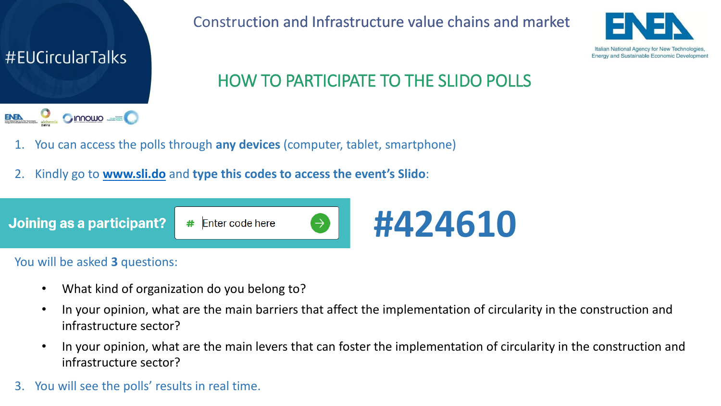

Construction and Infrastructure value chains and market



## HOW TO PARTICIPATE TO THE SLIDO POLLS

- 1. You can access the polls through **any devices** (computer, tablet, smartphone)
- 2. Kindly go to **[www.sli.do](http://www.sli.do/)** and **type this codes to access the event's Slido**:



You will be asked **3** questions:

- What kind of organization do you belong to?
- In your opinion, what are the main barriers that affect the implementation of circularity in the construction and infrastructure sector?
- In your opinion, what are the main levers that can foster the implementation of circularity in the construction and infrastructure sector?
- 3. You will see the polls' results in real time.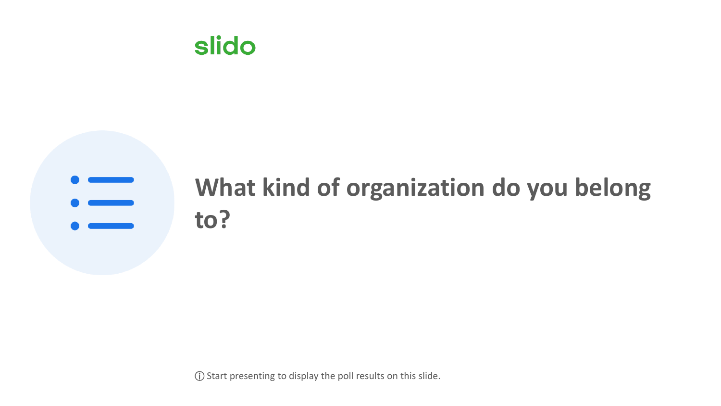

## **What kind of organization do you belong to?**

ⓘ Start presenting to display the poll results on this slide.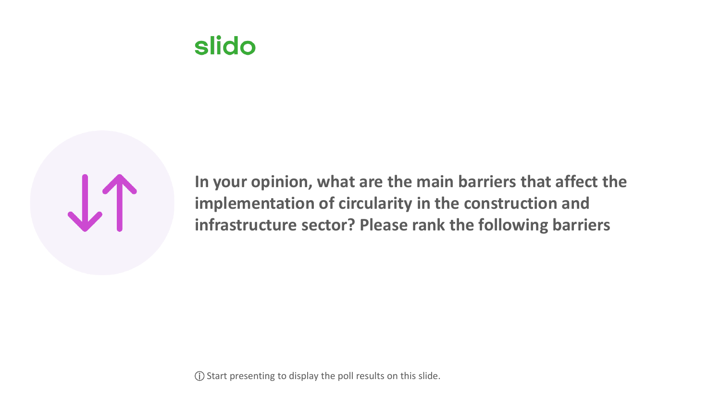



**In your opinion, what are the main barriers that affect the implementation of circularity in the construction and infrastructure sector? Please rank the following barriers**

ⓘ Start presenting to display the poll results on this slide.